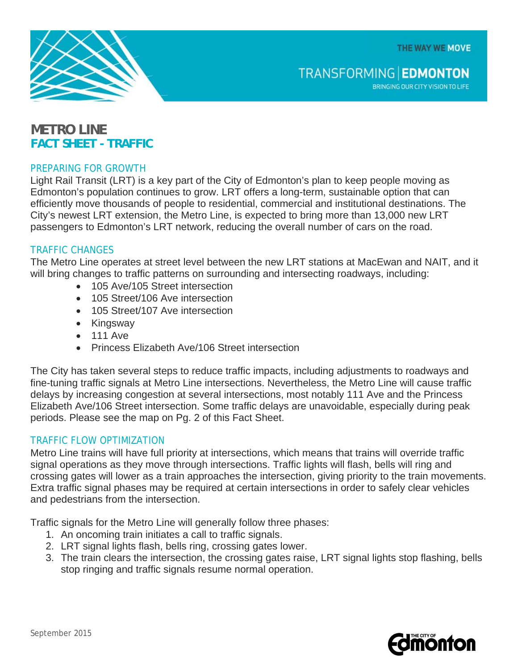THE WAY WE MOVE



BRINGING OUR CITY VISION TO LIFE

# **METRO LINE FACT SHEET - TRAFFIC**

## PREPARING FOR GROWTH

Light Rail Transit (LRT) is a key part of the City of Edmonton's plan to keep people moving as Edmonton's population continues to grow. LRT offers a long-term, sustainable option that can efficiently move thousands of people to residential, commercial and institutional destinations. The City's newest LRT extension, the Metro Line, is expected to bring more than 13,000 new LRT passengers to Edmonton's LRT network, reducing the overall number of cars on the road.

## TRAFFIC CHANGES

The Metro Line operates at street level between the new LRT stations at MacEwan and NAIT, and it will bring changes to traffic patterns on surrounding and intersecting roadways, including:

- 105 Ave/105 Street intersection
- 105 Street/106 Ave intersection
- 105 Street/107 Ave intersection
- Kingsway
- 111 Ave
- Princess Elizabeth Ave/106 Street intersection

The City has taken several steps to reduce traffic impacts, including adjustments to roadways and fine-tuning traffic signals at Metro Line intersections. Nevertheless, the Metro Line will cause traffic delays by increasing congestion at several intersections, most notably 111 Ave and the Princess Elizabeth Ave/106 Street intersection. Some traffic delays are unavoidable, especially during peak periods. Please see the map on Pg. 2 of this Fact Sheet.

#### TRAFFIC FLOW OPTIMIZATION

Metro Line trains will have full priority at intersections, which means that trains will override traffic signal operations as they move through intersections. Traffic lights will flash, bells will ring and crossing gates will lower as a train approaches the intersection, giving priority to the train movements. Extra traffic signal phases may be required at certain intersections in order to safely clear vehicles and pedestrians from the intersection.

Traffic signals for the Metro Line will generally follow three phases:

- 1. An oncoming train initiates a call to traffic signals.
- 2. LRT signal lights flash, bells ring, crossing gates lower.
- 3. The train clears the intersection, the crossing gates raise, LRT signal lights stop flashing, bells stop ringing and traffic signals resume normal operation.